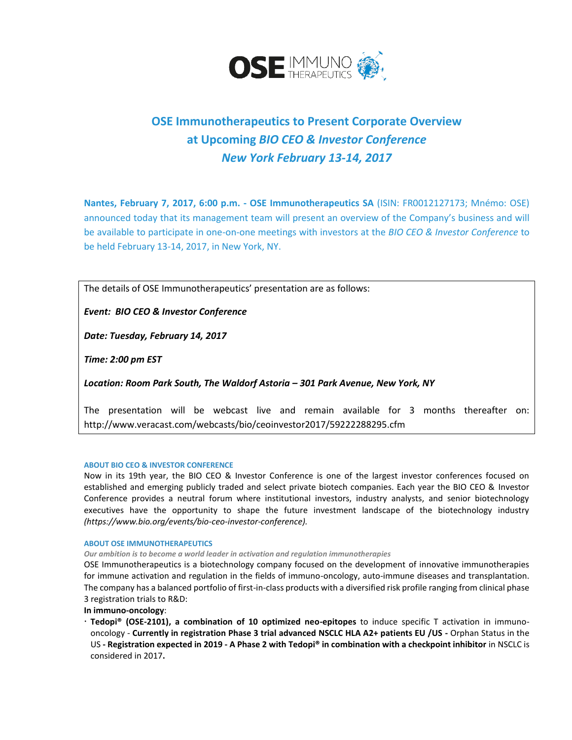

## **OSE Immunotherapeutics to Present Corporate Overview at Upcoming** *BIO CEO & Investor Conference New York February 13-14, 2017*

**Nantes, February 7, 2017, 6:00 p.m. - OSE Immunotherapeutics SA** (ISIN: FR0012127173; Mnémo: OSE) announced today that its management team will present an overview of the Company's business and will be available to participate in one-on-one meetings with investors at the *BIO CEO & Investor Conference* to be held February 13-14, 2017, in New York, NY.

The details of OSE Immunotherapeutics' presentation are as follows:

*Event: BIO CEO & Investor Conference*

*Date: Tuesday, February 14, 2017*

*Time: 2:00 pm EST*

*Location: Room Park South, The Waldorf Astoria – 301 Park Avenue, New York, NY*

The presentation will be webcast live and remain available for 3 months thereafter on: <http://www.veracast.com/webcasts/bio/ceoinvestor2017/59222288295.cfm>

## **ABOUT BIO CEO & INVESTOR CONFERENCE**

Now in its 19th year, the BIO CEO & Investor Conference is one of the largest investor conferences focused on established and emerging publicly traded and select private biotech companies. Each year the BIO CEO & Investor Conference provides a neutral forum where institutional investors, industry analysts, and senior biotechnology executives have the opportunity to shape the future investment landscape of the biotechnology industry *(https://www.bio.org/events/bio-ceo-investor-conference).*

## **ABOUT OSE IMMUNOTHERAPEUTICS**

*Our ambition is to become a world leader in activation and regulation immunotherapies*

OSE Immunotherapeutics is a biotechnology company focused on the development of innovative immunotherapies for immune activation and regulation in the fields of immuno-oncology, auto-immune diseases and transplantation. The company has a balanced portfolio of first-in-class products with a diversified risk profile ranging from clinical phase 3 registration trials to R&D:

**In immuno-oncology**:

 **Tedopi® (OSE-2101), a combination of 10 optimized neo-epitopes** to induce specific T activation in immunooncology - **Currently in registration Phase 3 trial advanced NSCLC HLA A2+ patients EU /US -** Orphan Status in the US **- Registration expected in 2019 - A Phase 2 with Tedopi® in combination with a checkpoint inhibitor** in NSCLC is considered in 2017**.**